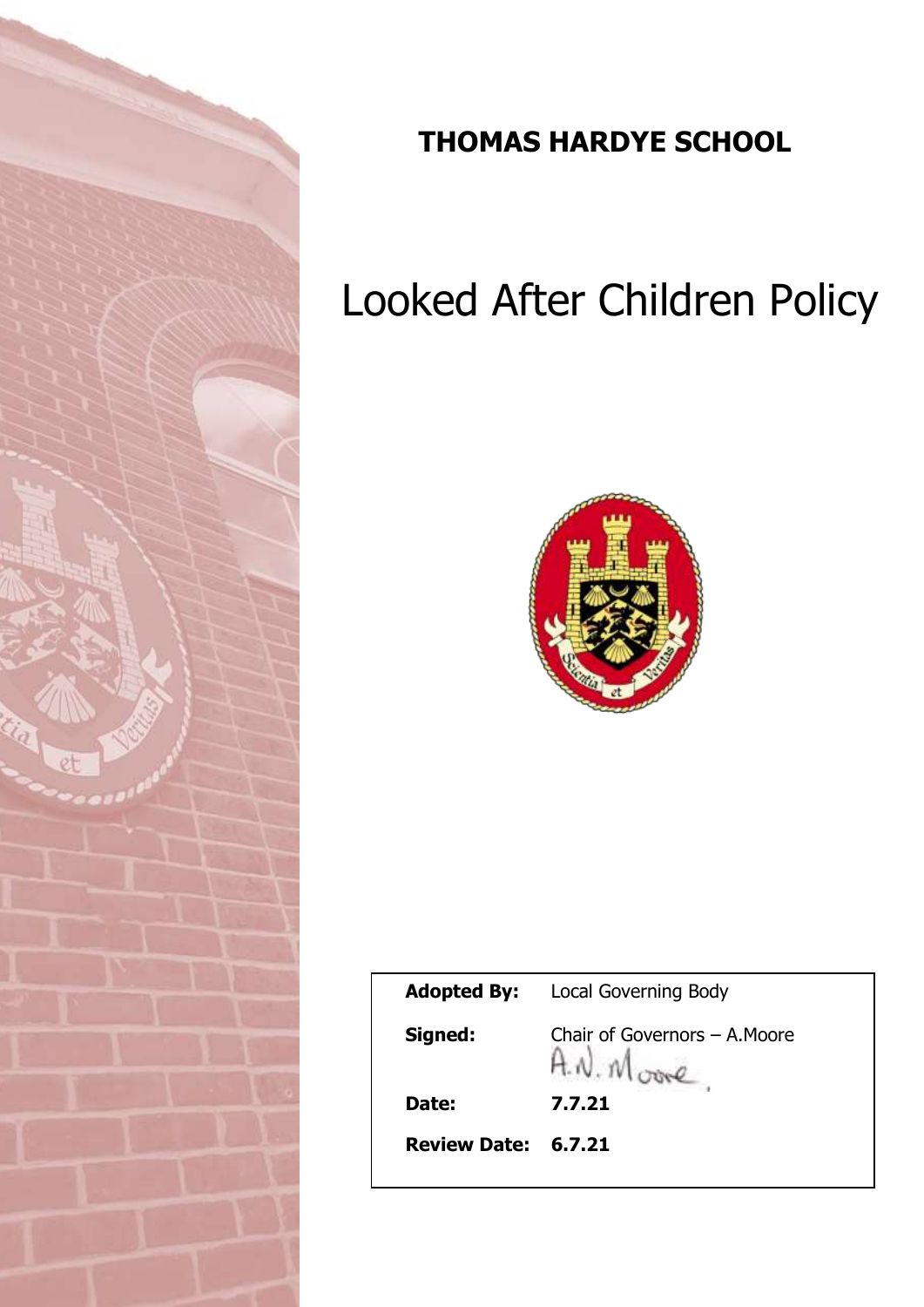

## **THOMAS HARDYE SCHOOL**

# Looked After Children Policy



| <b>Adopted By:</b>  | <b>Local Governing Body</b>   |
|---------------------|-------------------------------|
| Signed:             | Chair of Governors - A. Moore |
| Date:               | 7.7.21                        |
| Review Date: 6.7.21 |                               |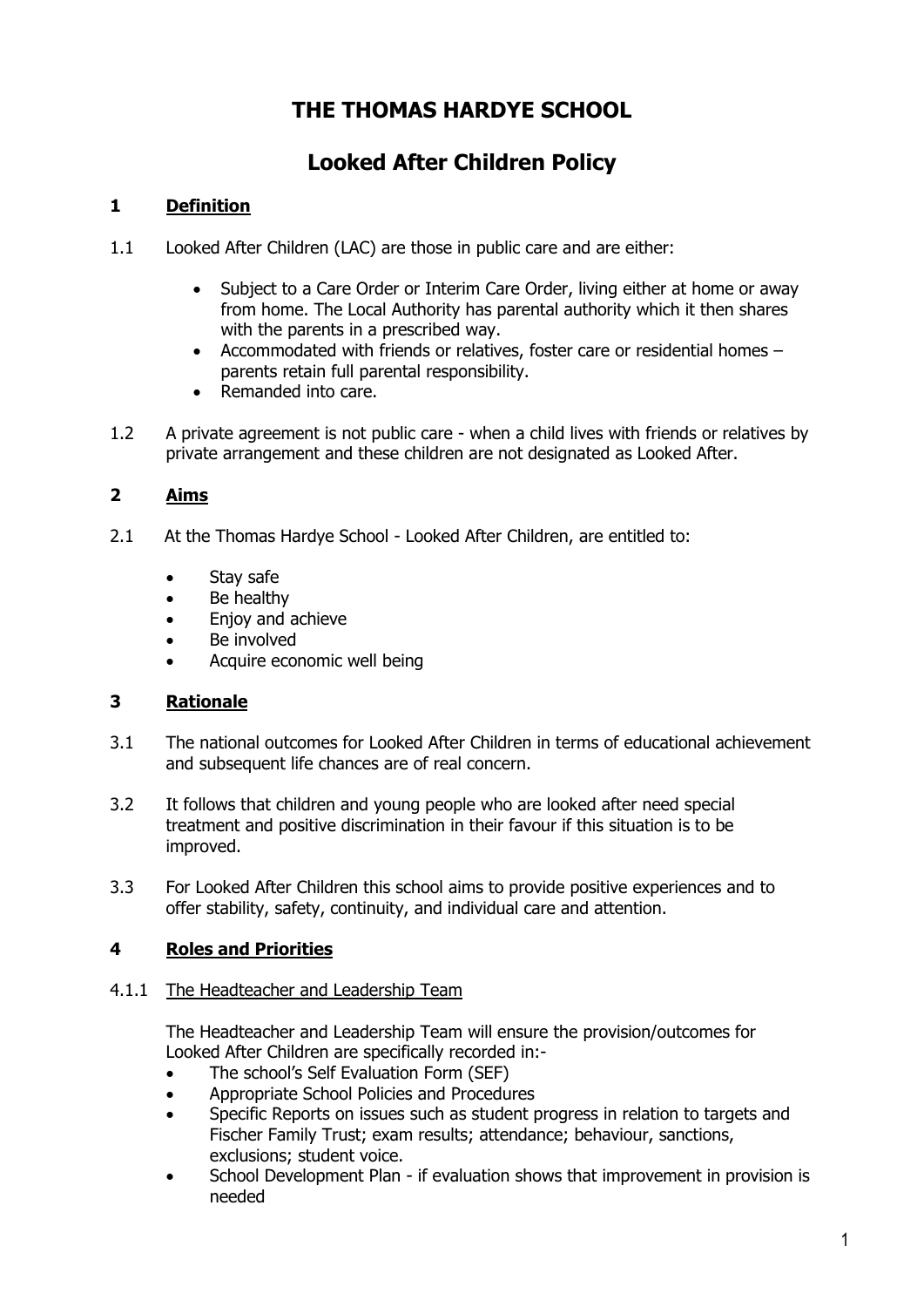### **THE THOMAS HARDYE SCHOOL**

## **Looked After Children Policy**

#### **1 Definition**

- 1.1 Looked After Children (LAC) are those in public care and are either:
	- Subject to a Care Order or Interim Care Order, living either at home or away from home. The Local Authority has parental authority which it then shares with the parents in a prescribed way.
	- Accommodated with friends or relatives, foster care or residential homes parents retain full parental responsibility.
	- Remanded into care.
- 1.2 A private agreement is not public care when a child lives with friends or relatives by private arrangement and these children are not designated as Looked After.

#### **2 Aims**

- 2.1 At the Thomas Hardye School Looked After Children, are entitled to:
	- Stay safe
	- Be healthy
	- Enjoy and achieve
	- Be involved
	- Acquire economic well being

#### **3 Rationale**

- 3.1 The national outcomes for Looked After Children in terms of educational achievement and subsequent life chances are of real concern.
- 3.2 It follows that children and young people who are looked after need special treatment and positive discrimination in their favour if this situation is to be improved.
- 3.3 For Looked After Children this school aims to provide positive experiences and to offer stability, safety, continuity, and individual care and attention.

#### **4 Roles and Priorities**

#### 4.1.1 The Headteacher and Leadership Team

The Headteacher and Leadership Team will ensure the provision/outcomes for Looked After Children are specifically recorded in:-

- The school's Self Evaluation Form (SEF)
- Appropriate School Policies and Procedures
- Specific Reports on issues such as student progress in relation to targets and Fischer Family Trust; exam results; attendance; behaviour, sanctions, exclusions; student voice.
- School Development Plan if evaluation shows that improvement in provision is needed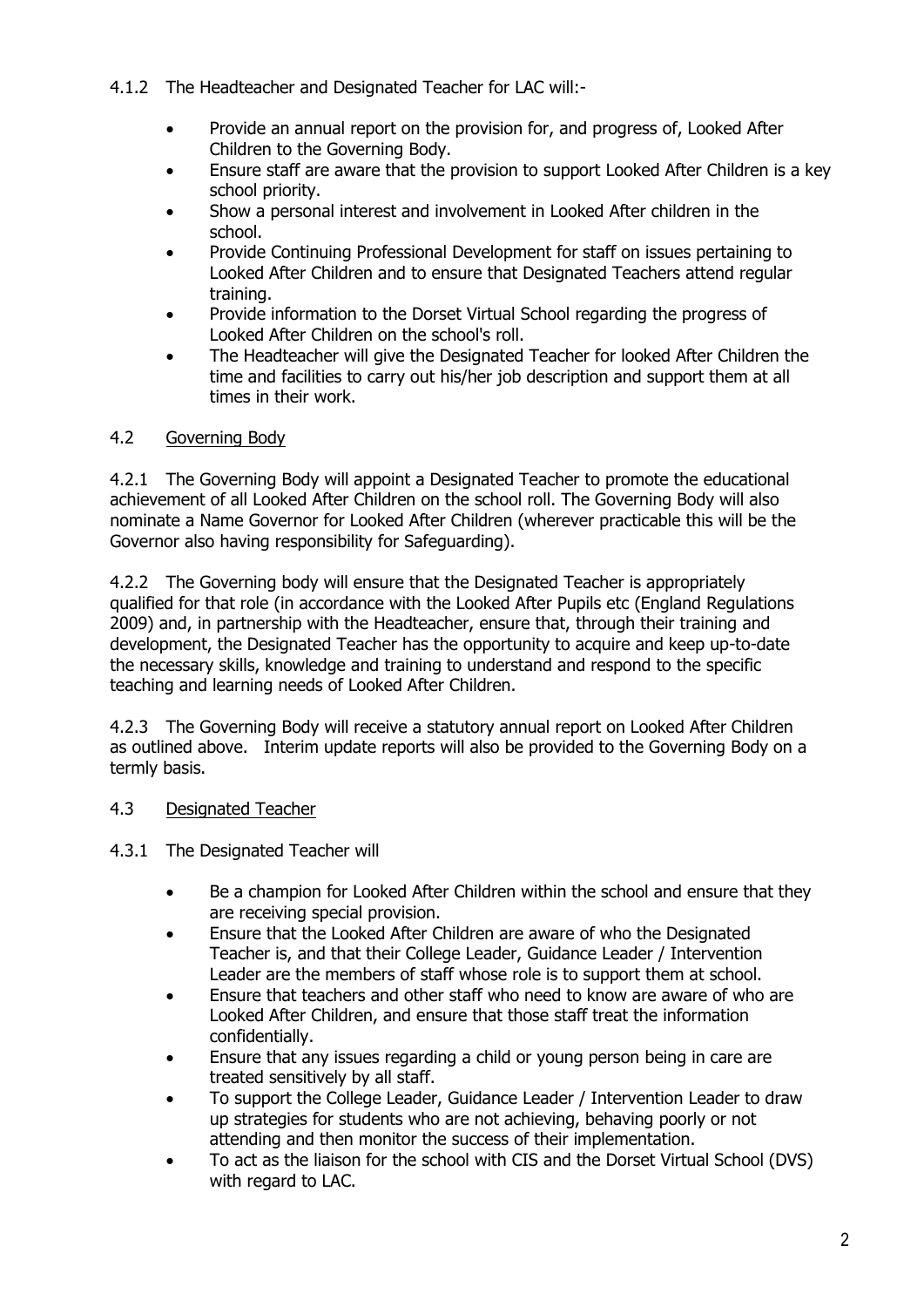#### 4.1.2 The Headteacher and Designated Teacher for LAC will:-

- Provide an annual report on the provision for, and progress of, Looked After Children to the Governing Body.
- Ensure staff are aware that the provision to support Looked After Children is a key school priority.
- Show a personal interest and involvement in Looked After children in the school.
- Provide Continuing Professional Development for staff on issues pertaining to Looked After Children and to ensure that Designated Teachers attend regular training.
- Provide information to the Dorset Virtual School regarding the progress of Looked After Children on the school's roll.
- The Headteacher will give the Designated Teacher for looked After Children the time and facilities to carry out his/her job description and support them at all times in their work.

#### 4.2 Governing Body

4.2.1 The Governing Body will appoint a Designated Teacher to promote the educational achievement of all Looked After Children on the school roll. The Governing Body will also nominate a Name Governor for Looked After Children (wherever practicable this will be the Governor also having responsibility for Safeguarding).

4.2.2 The Governing body will ensure that the Designated Teacher is appropriately qualified for that role (in accordance with the Looked After Pupils etc (England Regulations 2009) and, in partnership with the Headteacher, ensure that, through their training and development, the Designated Teacher has the opportunity to acquire and keep up-to-date the necessary skills, knowledge and training to understand and respond to the specific teaching and learning needs of Looked After Children.

4.2.3 The Governing Body will receive a statutory annual report on Looked After Children as outlined above. Interim update reports will also be provided to the Governing Body on a termly basis.

#### 4.3 Designated Teacher

- 4.3.1 The Designated Teacher will
	- Be a champion for Looked After Children within the school and ensure that they are receiving special provision.
	- Ensure that the Looked After Children are aware of who the Designated Teacher is, and that their College Leader, Guidance Leader / Intervention Leader are the members of staff whose role is to support them at school.
	- Ensure that teachers and other staff who need to know are aware of who are Looked After Children, and ensure that those staff treat the information confidentially.
	- Ensure that any issues regarding a child or young person being in care are treated sensitively by all staff.
	- To support the College Leader, Guidance Leader / Intervention Leader to draw up strategies for students who are not achieving, behaving poorly or not attending and then monitor the success of their implementation.
	- To act as the liaison for the school with CIS and the Dorset Virtual School (DVS) with regard to LAC.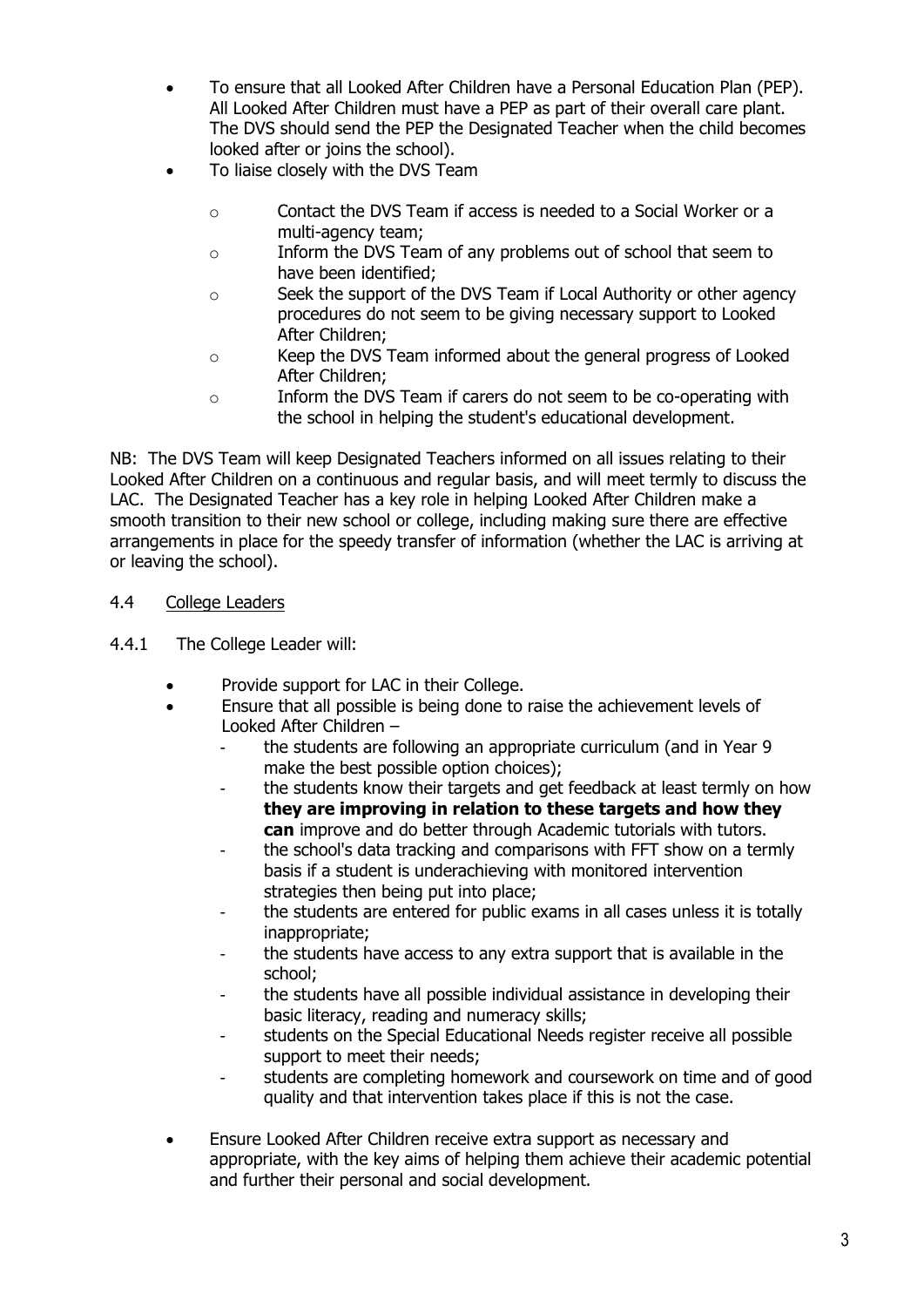- To ensure that all Looked After Children have a Personal Education Plan (PEP). All Looked After Children must have a PEP as part of their overall care plant. The DVS should send the PEP the Designated Teacher when the child becomes looked after or joins the school).
- To liaise closely with the DVS Team
	- o Contact the DVS Team if access is needed to a Social Worker or a multi-agency team;
	- o Inform the DVS Team of any problems out of school that seem to have been identified;
	- o Seek the support of the DVS Team if Local Authority or other agency procedures do not seem to be giving necessary support to Looked After Children;
	- o Keep the DVS Team informed about the general progress of Looked After Children;
	- o Inform the DVS Team if carers do not seem to be co-operating with the school in helping the student's educational development.

NB: The DVS Team will keep Designated Teachers informed on all issues relating to their Looked After Children on a continuous and regular basis, and will meet termly to discuss the LAC. The Designated Teacher has a key role in helping Looked After Children make a smooth transition to their new school or college, including making sure there are effective arrangements in place for the speedy transfer of information (whether the LAC is arriving at or leaving the school).

#### 4.4 College Leaders

- 4.4.1 The College Leader will:
	- Provide support for LAC in their College.
	- Ensure that all possible is being done to raise the achievement levels of Looked After Children –
		- the students are following an appropriate curriculum (and in Year 9 make the best possible option choices);
		- the students know their targets and get feedback at least termly on how **they are improving in relation to these targets and how they can** improve and do better through Academic tutorials with tutors.
		- the school's data tracking and comparisons with FFT show on a termly basis if a student is underachieving with monitored intervention strategies then being put into place;
		- the students are entered for public exams in all cases unless it is totally inappropriate;
		- the students have access to any extra support that is available in the school;
		- the students have all possible individual assistance in developing their basic literacy, reading and numeracy skills;
		- students on the Special Educational Needs register receive all possible support to meet their needs;
		- students are completing homework and coursework on time and of good quality and that intervention takes place if this is not the case.
	- Ensure Looked After Children receive extra support as necessary and appropriate, with the key aims of helping them achieve their academic potential and further their personal and social development.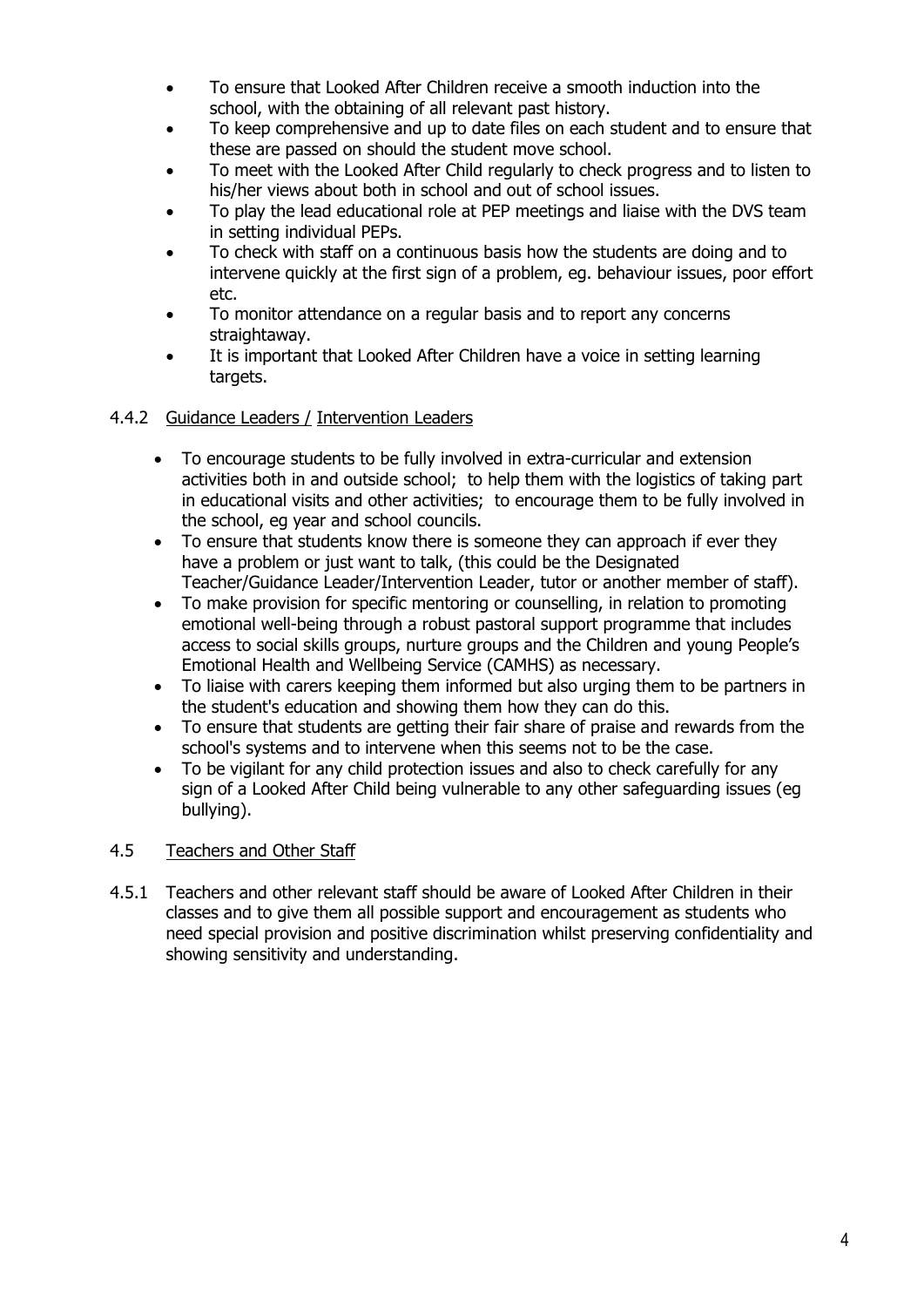- To ensure that Looked After Children receive a smooth induction into the school, with the obtaining of all relevant past history.
- To keep comprehensive and up to date files on each student and to ensure that these are passed on should the student move school.
- To meet with the Looked After Child regularly to check progress and to listen to his/her views about both in school and out of school issues.
- To play the lead educational role at PEP meetings and liaise with the DVS team in setting individual PEPs.
- To check with staff on a continuous basis how the students are doing and to intervene quickly at the first sign of a problem, eg. behaviour issues, poor effort etc.
- To monitor attendance on a regular basis and to report any concerns straightaway.
- It is important that Looked After Children have a voice in setting learning targets.
- 4.4.2 Guidance Leaders / Intervention Leaders
	- To encourage students to be fully involved in extra-curricular and extension activities both in and outside school; to help them with the logistics of taking part in educational visits and other activities; to encourage them to be fully involved in the school, eg year and school councils.
	- To ensure that students know there is someone they can approach if ever they have a problem or just want to talk, (this could be the Designated Teacher/Guidance Leader/Intervention Leader, tutor or another member of staff).
	- To make provision for specific mentoring or counselling, in relation to promoting emotional well-being through a robust pastoral support programme that includes access to social skills groups, nurture groups and the Children and young People's Emotional Health and Wellbeing Service (CAMHS) as necessary.
	- To liaise with carers keeping them informed but also urging them to be partners in the student's education and showing them how they can do this.
	- To ensure that students are getting their fair share of praise and rewards from the school's systems and to intervene when this seems not to be the case.
	- To be vigilant for any child protection issues and also to check carefully for any sign of a Looked After Child being vulnerable to any other safeguarding issues (eg bullying).

#### 4.5 Teachers and Other Staff

4.5.1 Teachers and other relevant staff should be aware of Looked After Children in their classes and to give them all possible support and encouragement as students who need special provision and positive discrimination whilst preserving confidentiality and showing sensitivity and understanding.